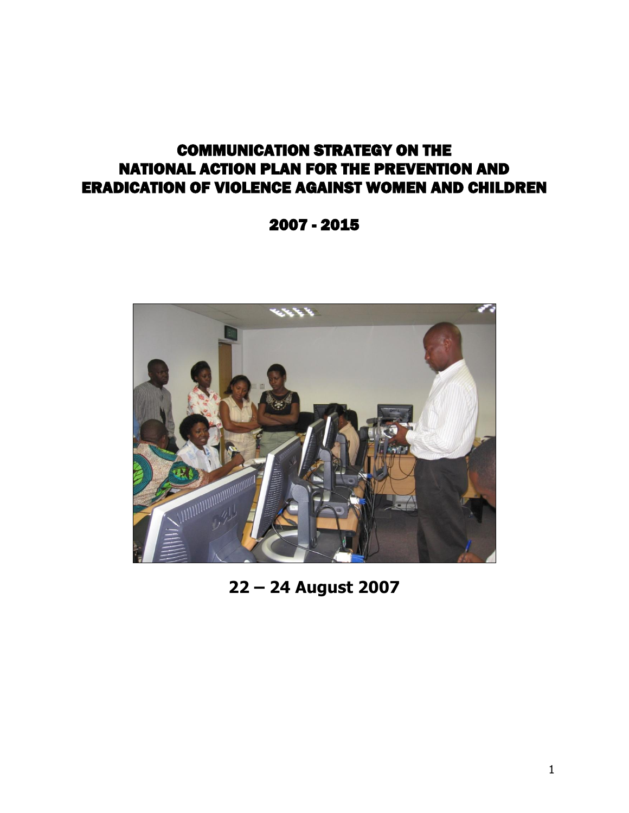# COMMUNICATION STRATEGY ON THE NATIONAL ACTION PLAN FOR THE PREVENTION AND ERADICATION OF VIOLENCE AGAINST WOMEN AND CHILDREN

2007 - 2015



**22 – 24 August 2007**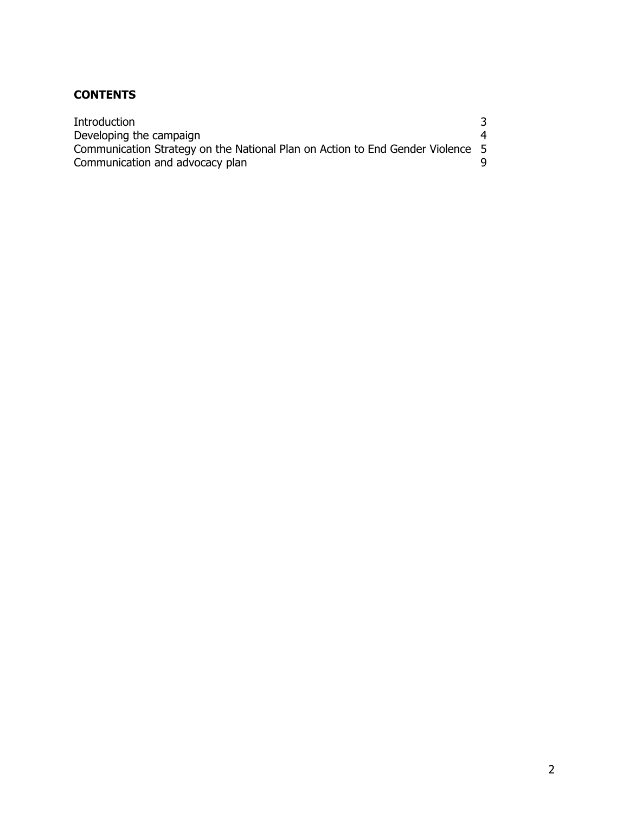# **CONTENTS**

| Introduction                                                                   |  |
|--------------------------------------------------------------------------------|--|
| Developing the campaign                                                        |  |
| Communication Strategy on the National Plan on Action to End Gender Violence 5 |  |
| Communication and advocacy plan                                                |  |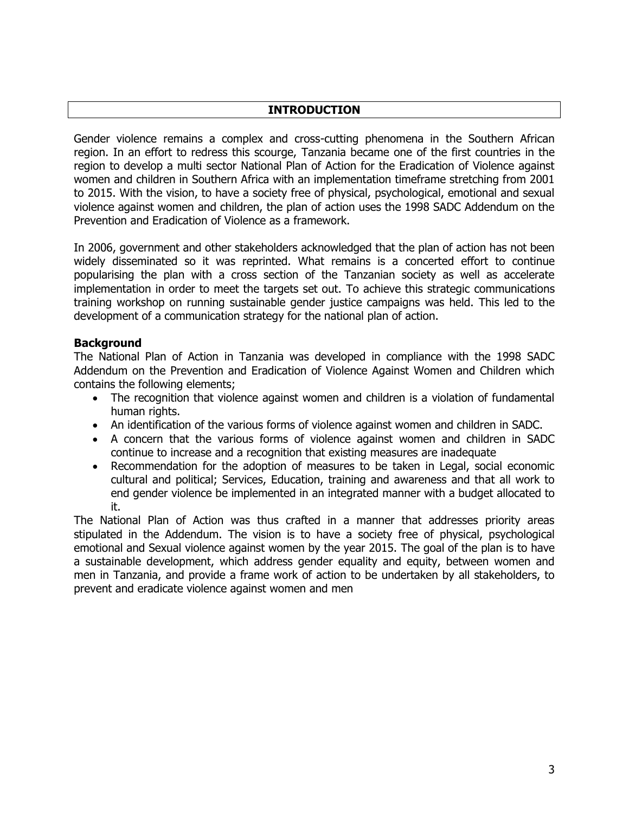#### **INTRODUCTION**

Gender violence remains a complex and cross-cutting phenomena in the Southern African region. In an effort to redress this scourge, Tanzania became one of the first countries in the region to develop a multi sector National Plan of Action for the Eradication of Violence against women and children in Southern Africa with an implementation timeframe stretching from 2001 to 2015. With the vision, to have a society free of physical, psychological, emotional and sexual violence against women and children, the plan of action uses the 1998 SADC Addendum on the Prevention and Eradication of Violence as a framework.

In 2006, government and other stakeholders acknowledged that the plan of action has not been widely disseminated so it was reprinted. What remains is a concerted effort to continue popularising the plan with a cross section of the Tanzanian society as well as accelerate implementation in order to meet the targets set out. To achieve this strategic communications training workshop on running sustainable gender justice campaigns was held. This led to the development of a communication strategy for the national plan of action.

#### **Background**

The National Plan of Action in Tanzania was developed in compliance with the 1998 SADC Addendum on the Prevention and Eradication of Violence Against Women and Children which contains the following elements;

- The recognition that violence against women and children is a violation of fundamental human rights.
- An identification of the various forms of violence against women and children in SADC.
- A concern that the various forms of violence against women and children in SADC continue to increase and a recognition that existing measures are inadequate
- Recommendation for the adoption of measures to be taken in Legal, social economic cultural and political; Services, Education, training and awareness and that all work to end gender violence be implemented in an integrated manner with a budget allocated to it.

The National Plan of Action was thus crafted in a manner that addresses priority areas stipulated in the Addendum. The vision is to have a society free of physical, psychological emotional and Sexual violence against women by the year 2015. The goal of the plan is to have a sustainable development, which address gender equality and equity, between women and men in Tanzania, and provide a frame work of action to be undertaken by all stakeholders, to prevent and eradicate violence against women and men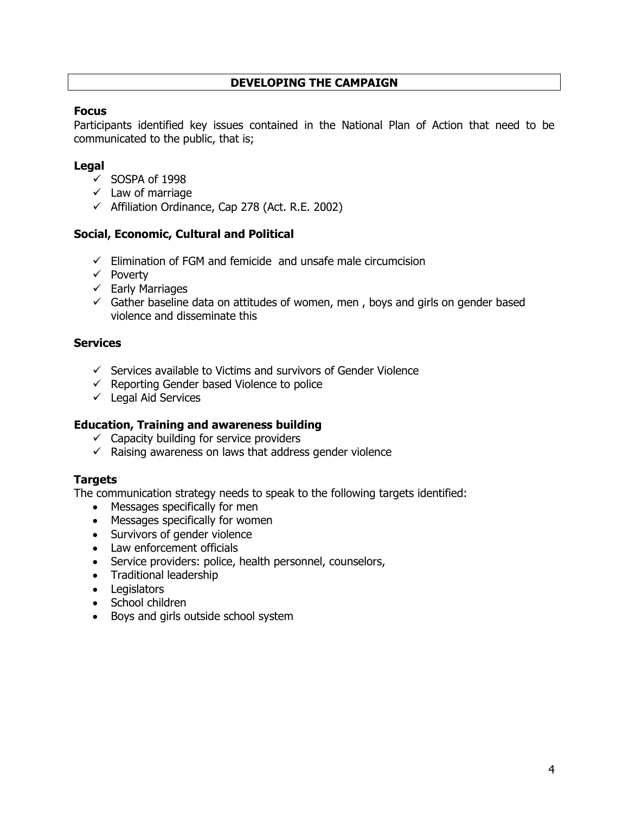## **DEVELOPING THE CAMPAIGN**

#### **Focus**

Participants identified key issues contained in the National Plan of Action that need to be communicated to the public, that is;

#### **Legal**

- $\checkmark$  SOSPA of 1998
- $\checkmark$  Law of marriage
- $\checkmark$  Affiliation Ordinance, Cap 278 (Act. R.E. 2002)

#### **Social, Economic, Cultural and Political**

- $\checkmark$  Elimination of FGM and femicide and unsafe male circumcision
- $\checkmark$  Poverty
- $\checkmark$  Early Marriages
- $\checkmark$  Gather baseline data on attitudes of women, men, boys and girls on gender based violence and disseminate this

#### **Services**

- $\checkmark$  Services available to Victims and survivors of Gender Violence
- $\checkmark$  Reporting Gender based Violence to police
- $\checkmark$  Legal Aid Services

#### **Education, Training and awareness building**

- $\checkmark$  Capacity building for service providers
- $\checkmark$  Raising awareness on laws that address gender violence

#### **Targets**

The communication strategy needs to speak to the following targets identified:

- Messages specifically for men
- Messages specifically for women
- Survivors of gender violence
- Law enforcement officials
- Service providers: police, health personnel, counselors,
- Traditional leadership
- Legislators
- School children
- Boys and girls outside school system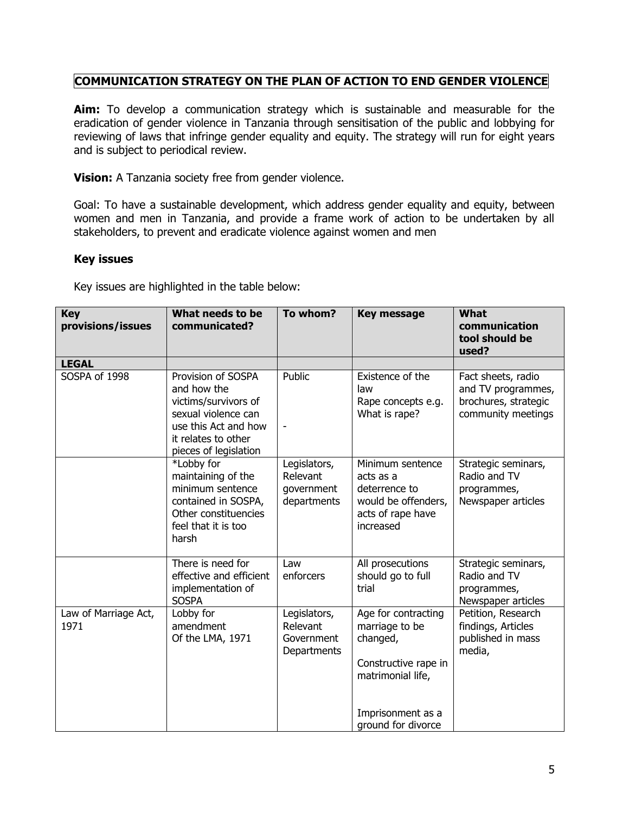# **COMMUNICATION STRATEGY ON THE PLAN OF ACTION TO END GENDER VIOLENCE**

**Aim:** To develop a communication strategy which is sustainable and measurable for the eradication of gender violence in Tanzania through sensitisation of the public and lobbying for reviewing of laws that infringe gender equality and equity. The strategy will run for eight years and is subject to periodical review.

**Vision:** A Tanzania society free from gender violence.

Goal: To have a sustainable development, which address gender equality and equity, between women and men in Tanzania, and provide a frame work of action to be undertaken by all stakeholders, to prevent and eradicate violence against women and men

#### **Key issues**

Key issues are highlighted in the table below:

| <b>Key</b><br>provisions/issues | What needs to be<br>communicated?                                                                                                                        | To whom?                                              | <b>Key message</b>                                                                                                                        | <b>What</b><br>communication<br>tool should be<br>used?                                |
|---------------------------------|----------------------------------------------------------------------------------------------------------------------------------------------------------|-------------------------------------------------------|-------------------------------------------------------------------------------------------------------------------------------------------|----------------------------------------------------------------------------------------|
| <b>LEGAL</b>                    |                                                                                                                                                          |                                                       |                                                                                                                                           |                                                                                        |
| SOSPA of 1998                   | Provision of SOSPA<br>and how the<br>victims/survivors of<br>sexual violence can<br>use this Act and how<br>it relates to other<br>pieces of legislation | Public                                                | Existence of the<br>law<br>Rape concepts e.g.<br>What is rape?                                                                            | Fact sheets, radio<br>and TV programmes,<br>brochures, strategic<br>community meetings |
|                                 | *Lobby for<br>maintaining of the<br>minimum sentence<br>contained in SOSPA,<br>Other constituencies<br>feel that it is too<br>harsh                      | Legislators,<br>Relevant<br>government<br>departments | Minimum sentence<br>acts as a<br>deterrence to<br>would be offenders,<br>acts of rape have<br>increased                                   | Strategic seminars,<br>Radio and TV<br>programmes,<br>Newspaper articles               |
|                                 | There is need for<br>effective and efficient<br>implementation of<br><b>SOSPA</b>                                                                        | Law<br>enforcers                                      | All prosecutions<br>should go to full<br>trial                                                                                            | Strategic seminars,<br>Radio and TV<br>programmes,<br>Newspaper articles               |
| Law of Marriage Act,<br>1971    | Lobby for<br>amendment<br>Of the LMA, 1971                                                                                                               | Legislators,<br>Relevant<br>Government<br>Departments | Age for contracting<br>marriage to be<br>changed,<br>Constructive rape in<br>matrimonial life,<br>Imprisonment as a<br>ground for divorce | Petition, Research<br>findings, Articles<br>published in mass<br>media,                |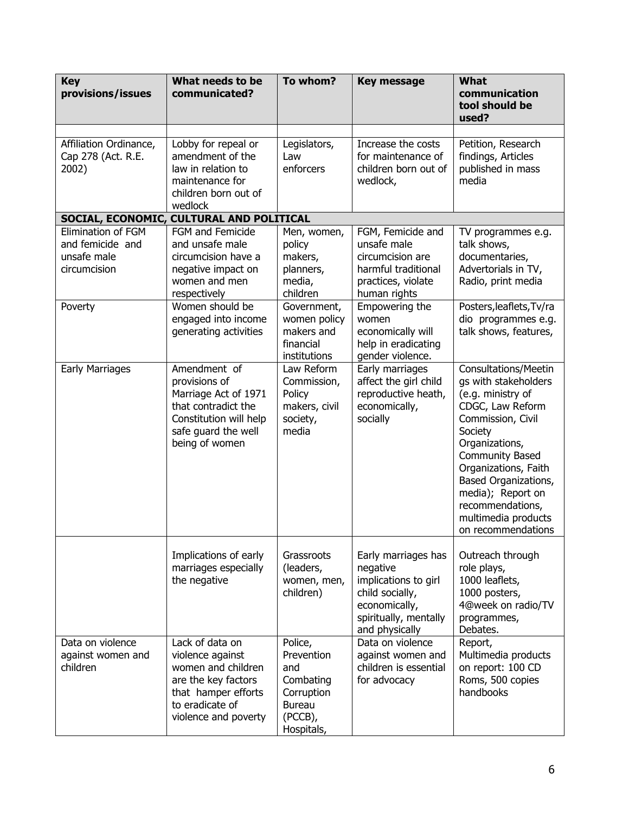| <b>Key</b><br>provisions/issues                                                  | What needs to be<br>communicated?                                                                                                                                                    | To whom?                                                                                                         | <b>Key message</b>                                                                                                                                                | What<br>communication<br>tool should be<br>used?                                                                                                                                                                                                                                                        |
|----------------------------------------------------------------------------------|--------------------------------------------------------------------------------------------------------------------------------------------------------------------------------------|------------------------------------------------------------------------------------------------------------------|-------------------------------------------------------------------------------------------------------------------------------------------------------------------|---------------------------------------------------------------------------------------------------------------------------------------------------------------------------------------------------------------------------------------------------------------------------------------------------------|
| Affiliation Ordinance,<br>Cap 278 (Act. R.E.<br>2002)                            | Lobby for repeal or<br>amendment of the<br>law in relation to<br>maintenance for<br>children born out of<br>wedlock                                                                  | Legislators,<br>Law<br>enforcers                                                                                 | Increase the costs<br>for maintenance of<br>children born out of<br>wedlock,                                                                                      | Petition, Research<br>findings, Articles<br>published in mass<br>media                                                                                                                                                                                                                                  |
|                                                                                  | SOCIAL, ECONOMIC, CULTURAL AND POLITICAL                                                                                                                                             |                                                                                                                  |                                                                                                                                                                   |                                                                                                                                                                                                                                                                                                         |
| Elimination of FGM<br>and femicide and<br>unsafe male<br>circumcision<br>Poverty | FGM and Femicide<br>and unsafe male<br>circumcision have a<br>negative impact on<br>women and men<br>respectively<br>Women should be<br>engaged into income<br>generating activities | Men, women,<br>policy<br>makers,<br>planners,<br>media,<br>children<br>Government,<br>women policy<br>makers and | FGM, Femicide and<br>unsafe male<br>circumcision are<br>harmful traditional<br>practices, violate<br>human rights<br>Empowering the<br>women<br>economically will | TV programmes e.g.<br>talk shows,<br>documentaries,<br>Advertorials in TV,<br>Radio, print media<br>Posters, leaflets, Tv/ra<br>dio programmes e.g.<br>talk shows, features,                                                                                                                            |
|                                                                                  |                                                                                                                                                                                      | financial<br>institutions                                                                                        | help in eradicating<br>gender violence.                                                                                                                           |                                                                                                                                                                                                                                                                                                         |
| <b>Early Marriages</b>                                                           | Amendment of<br>provisions of<br>Marriage Act of 1971<br>that contradict the<br>Constitution will help<br>safe guard the well<br>being of women                                      | Law Reform<br>Commission,<br>Policy<br>makers, civil<br>society,<br>media                                        | Early marriages<br>affect the girl child<br>reproductive heath,<br>economically,<br>socially                                                                      | Consultations/Meetin<br>gs with stakeholders<br>(e.g. ministry of<br>CDGC, Law Reform<br>Commission, Civil<br>Society<br>Organizations,<br><b>Community Based</b><br>Organizations, Faith<br>Based Organizations,<br>media); Report on<br>recommendations,<br>multimedia products<br>on recommendations |
|                                                                                  | Implications of early<br>marriages especially<br>the negative                                                                                                                        | Grassroots<br>(leaders,<br>women, men,<br>children)                                                              | Early marriages has<br>negative<br>implications to girl<br>child socially,<br>economically,<br>spiritually, mentally<br>and physically                            | Outreach through<br>role plays,<br>1000 leaflets,<br>1000 posters,<br>4@week on radio/TV<br>programmes,<br>Debates.                                                                                                                                                                                     |
| Data on violence<br>against women and<br>children                                | Lack of data on<br>violence against<br>women and children<br>are the key factors<br>that hamper efforts<br>to eradicate of<br>violence and poverty                                   | Police,<br>Prevention<br>and<br>Combating<br>Corruption<br><b>Bureau</b><br>(PCCB),<br>Hospitals,                | Data on violence<br>against women and<br>children is essential<br>for advocacy                                                                                    | Report,<br>Multimedia products<br>on report: 100 CD<br>Roms, 500 copies<br>handbooks                                                                                                                                                                                                                    |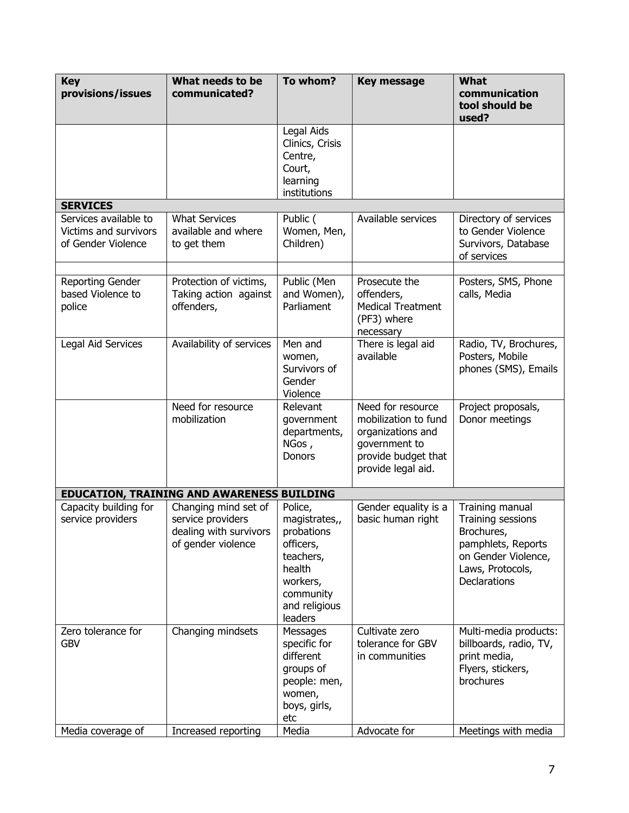| <b>Key</b><br>provisions/issues                                      | What needs to be<br>communicated?                                                         | To whom?                                                                                                                        | <b>Key message</b>                                                                                                           | <b>What</b><br>communication<br>tool should be<br>used?                                                                             |
|----------------------------------------------------------------------|-------------------------------------------------------------------------------------------|---------------------------------------------------------------------------------------------------------------------------------|------------------------------------------------------------------------------------------------------------------------------|-------------------------------------------------------------------------------------------------------------------------------------|
|                                                                      |                                                                                           | Legal Aids<br>Clinics, Crisis<br>Centre,<br>Court,<br>learning<br>institutions                                                  |                                                                                                                              |                                                                                                                                     |
| <b>SERVICES</b>                                                      |                                                                                           |                                                                                                                                 |                                                                                                                              |                                                                                                                                     |
| Services available to<br>Victims and survivors<br>of Gender Violence | <b>What Services</b><br>available and where<br>to get them                                | Public (<br>Women, Men,<br>Children)                                                                                            | Available services                                                                                                           | Directory of services<br>to Gender Violence<br>Survivors, Database<br>of services                                                   |
|                                                                      |                                                                                           |                                                                                                                                 |                                                                                                                              |                                                                                                                                     |
| Reporting Gender<br>based Violence to<br>police                      | Protection of victims,<br>Taking action against<br>offenders,                             | Public (Men<br>and Women),<br>Parliament                                                                                        | Prosecute the<br>offenders,<br><b>Medical Treatment</b><br>(PF3) where<br>necessary                                          | Posters, SMS, Phone<br>calls, Media                                                                                                 |
| Legal Aid Services                                                   | Availability of services                                                                  | Men and<br>women,<br>Survivors of<br>Gender<br>Violence                                                                         | There is legal aid<br>available                                                                                              | Radio, TV, Brochures,<br>Posters, Mobile<br>phones (SMS), Emails                                                                    |
|                                                                      | Need for resource<br>mobilization                                                         | Relevant<br>government<br>departments,<br>NGos,<br><b>Donors</b>                                                                | Need for resource<br>mobilization to fund<br>organizations and<br>government to<br>provide budget that<br>provide legal aid. | Project proposals,<br>Donor meetings                                                                                                |
|                                                                      | <b>EDUCATION, TRAINING AND AWARENESS BUILDING</b>                                         |                                                                                                                                 |                                                                                                                              |                                                                                                                                     |
| Capacity building for<br>service providers                           | Changing mind set of<br>service providers<br>dealing with survivors<br>of gender violence | Police,<br>magistrates,,<br>probations<br>officers,<br>teachers,<br>health<br>workers,<br>community<br>and religious<br>leaders | Gender equality is a<br>basic human right                                                                                    | Training manual<br>Training sessions<br>Brochures,<br>pamphlets, Reports<br>on Gender Violence,<br>Laws, Protocols,<br>Declarations |
| Zero tolerance for<br><b>GBV</b>                                     | Changing mindsets                                                                         | Messages<br>specific for<br>different<br>groups of<br>people: men,<br>women,<br>boys, girls,<br>etc                             | Cultivate zero<br>tolerance for GBV<br>in communities                                                                        | Multi-media products:<br>billboards, radio, TV,<br>print media,<br>Flyers, stickers,<br>brochures                                   |
| Media coverage of                                                    | Increased reporting                                                                       | Media                                                                                                                           | Advocate for                                                                                                                 | Meetings with media                                                                                                                 |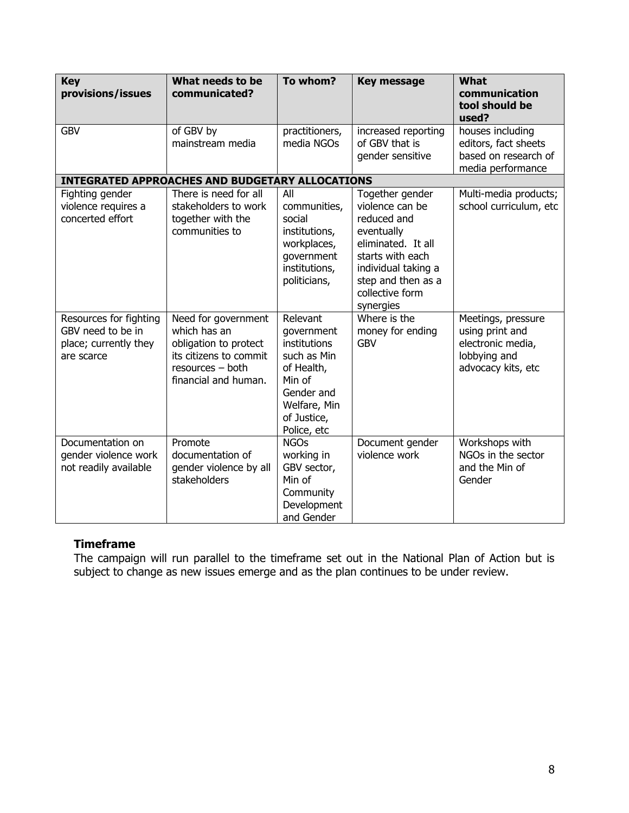| <b>Key</b><br>provisions/issues                                                    | What needs to be<br>communicated?                                                                                                  | To whom?                                                                                                                                  | <b>Key message</b>                                                                                                                                                                     | What<br>communication<br>tool should be<br>used?                                                 |
|------------------------------------------------------------------------------------|------------------------------------------------------------------------------------------------------------------------------------|-------------------------------------------------------------------------------------------------------------------------------------------|----------------------------------------------------------------------------------------------------------------------------------------------------------------------------------------|--------------------------------------------------------------------------------------------------|
| <b>GBV</b>                                                                         | of GBV by<br>mainstream media                                                                                                      | practitioners,<br>media NGOs                                                                                                              | increased reporting<br>of GBV that is<br>gender sensitive                                                                                                                              | houses including<br>editors, fact sheets<br>based on research of<br>media performance            |
|                                                                                    | <b>INTEGRATED APPROACHES AND BUDGETARY ALLOCATIONS</b>                                                                             |                                                                                                                                           |                                                                                                                                                                                        |                                                                                                  |
| Fighting gender<br>violence requires a<br>concerted effort                         | There is need for all<br>stakeholders to work<br>together with the<br>communities to                                               | All<br>communities,<br>social<br>institutions,<br>workplaces,<br>government<br>institutions,<br>politicians,                              | Together gender<br>violence can be<br>reduced and<br>eventually<br>eliminated. It all<br>starts with each<br>individual taking a<br>step and then as a<br>collective form<br>synergies | Multi-media products;<br>school curriculum, etc                                                  |
| Resources for fighting<br>GBV need to be in<br>place; currently they<br>are scarce | Need for government<br>which has an<br>obligation to protect<br>its citizens to commit<br>resources - both<br>financial and human. | Relevant<br>government<br>institutions<br>such as Min<br>of Health,<br>Min of<br>Gender and<br>Welfare, Min<br>of Justice,<br>Police, etc | Where is the<br>money for ending<br><b>GBV</b>                                                                                                                                         | Meetings, pressure<br>using print and<br>electronic media,<br>lobbying and<br>advocacy kits, etc |
| Documentation on<br>gender violence work<br>not readily available                  | Promote<br>documentation of<br>gender violence by all<br>stakeholders                                                              | <b>NGOs</b><br>working in<br>GBV sector,<br>Min of<br>Community<br>Development<br>and Gender                                              | Document gender<br>violence work                                                                                                                                                       | Workshops with<br>NGOs in the sector<br>and the Min of<br>Gender                                 |

## **Timeframe**

The campaign will run parallel to the timeframe set out in the National Plan of Action but is subject to change as new issues emerge and as the plan continues to be under review.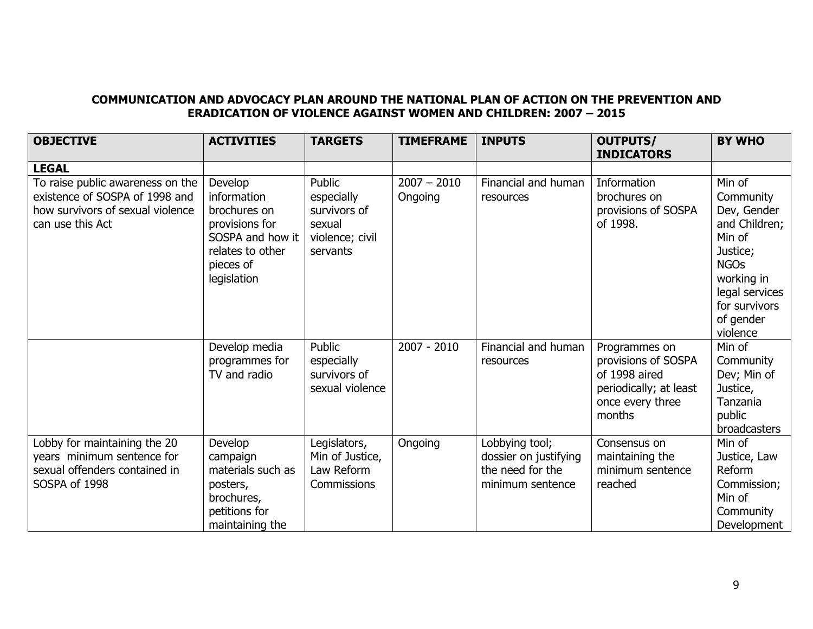#### **COMMUNICATION AND ADVOCACY PLAN AROUND THE NATIONAL PLAN OF ACTION ON THE PREVENTION AND ERADICATION OF VIOLENCE AGAINST WOMEN AND CHILDREN: 2007 – 2015**

| <b>OBJECTIVE</b>                                                                                                           | <b>ACTIVITIES</b>                                                                                                            | <b>TARGETS</b>                                                                | <b>TIMEFRAME</b>         | <b>INPUTS</b>                                                                   | <b>OUTPUTS/</b><br><b>INDICATORS</b>                                                                          | <b>BY WHO</b>                                                                                                                                                      |
|----------------------------------------------------------------------------------------------------------------------------|------------------------------------------------------------------------------------------------------------------------------|-------------------------------------------------------------------------------|--------------------------|---------------------------------------------------------------------------------|---------------------------------------------------------------------------------------------------------------|--------------------------------------------------------------------------------------------------------------------------------------------------------------------|
| <b>LEGAL</b>                                                                                                               |                                                                                                                              |                                                                               |                          |                                                                                 |                                                                                                               |                                                                                                                                                                    |
| To raise public awareness on the<br>existence of SOSPA of 1998 and<br>how survivors of sexual violence<br>can use this Act | Develop<br>information<br>brochures on<br>provisions for<br>SOSPA and how it<br>relates to other<br>pieces of<br>legislation | Public<br>especially<br>survivors of<br>sexual<br>violence; civil<br>servants | $2007 - 2010$<br>Ongoing | Financial and human<br>resources                                                | Information<br>brochures on<br>provisions of SOSPA<br>of 1998.                                                | Min of<br>Community<br>Dev, Gender<br>and Children;<br>Min of<br>Justice;<br><b>NGOs</b><br>working in<br>legal services<br>for survivors<br>of gender<br>violence |
|                                                                                                                            | Develop media<br>programmes for<br>TV and radio                                                                              | Public<br>especially<br>survivors of<br>sexual violence                       | $2007 - 2010$            | Financial and human<br>resources                                                | Programmes on<br>provisions of SOSPA<br>of 1998 aired<br>periodically; at least<br>once every three<br>months | Min of<br>Community<br>Dev; Min of<br>Justice,<br>Tanzania<br>public<br>broadcasters                                                                               |
| Lobby for maintaining the 20<br>years minimum sentence for<br>sexual offenders contained in<br>SOSPA of 1998               | Develop<br>campaign<br>materials such as<br>posters,<br>brochures,<br>petitions for<br>maintaining the                       | Legislators,<br>Min of Justice,<br>Law Reform<br>Commissions                  | Ongoing                  | Lobbying tool;<br>dossier on justifying<br>the need for the<br>minimum sentence | Consensus on<br>maintaining the<br>minimum sentence<br>reached                                                | Min of<br>Justice, Law<br>Reform<br>Commission;<br>Min of<br>Community<br>Development                                                                              |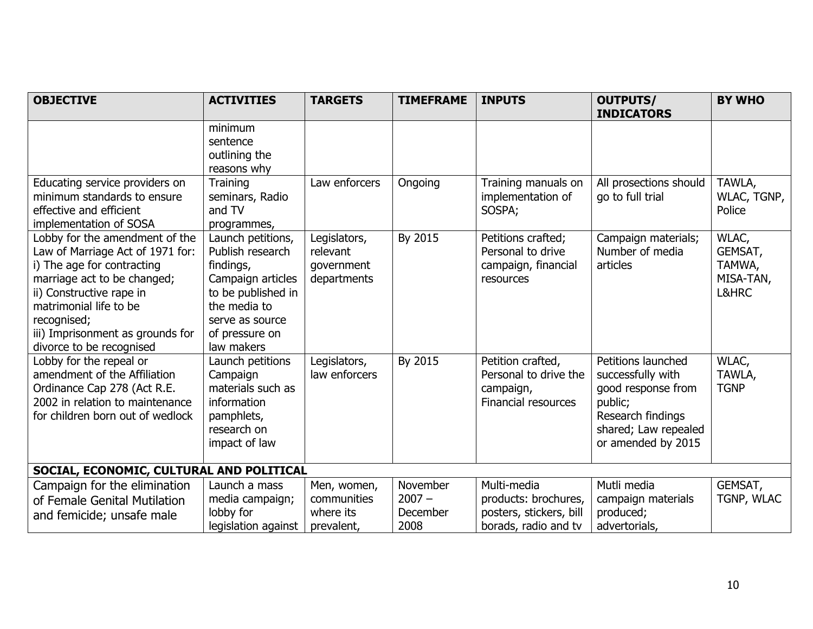| <b>OBJECTIVE</b>                                                                                                                                                                                                                                                     | <b>ACTIVITIES</b>                                                                                                                                                | <b>TARGETS</b>                                        | <b>TIMEFRAME</b>                         | <b>INPUTS</b>                                                                          | <b>OUTPUTS/</b><br><b>INDICATORS</b>                                                                                                        | <b>BY WHO</b>                                    |
|----------------------------------------------------------------------------------------------------------------------------------------------------------------------------------------------------------------------------------------------------------------------|------------------------------------------------------------------------------------------------------------------------------------------------------------------|-------------------------------------------------------|------------------------------------------|----------------------------------------------------------------------------------------|---------------------------------------------------------------------------------------------------------------------------------------------|--------------------------------------------------|
|                                                                                                                                                                                                                                                                      | minimum<br>sentence<br>outlining the<br>reasons why                                                                                                              |                                                       |                                          |                                                                                        |                                                                                                                                             |                                                  |
| Educating service providers on<br>minimum standards to ensure<br>effective and efficient<br>implementation of SOSA                                                                                                                                                   | Training<br>seminars, Radio<br>and TV<br>programmes,                                                                                                             | Law enforcers                                         | Ongoing                                  | Training manuals on<br>implementation of<br>SOSPA;                                     | All prosections should<br>go to full trial                                                                                                  | TAWLA,<br>WLAC, TGNP,<br>Police                  |
| Lobby for the amendment of the<br>Law of Marriage Act of 1971 for:<br>i) The age for contracting<br>marriage act to be changed;<br>ii) Constructive rape in<br>matrimonial life to be<br>recognised;<br>iii) Imprisonment as grounds for<br>divorce to be recognised | Launch petitions,<br>Publish research<br>findings,<br>Campaign articles<br>to be published in<br>the media to<br>serve as source<br>of pressure on<br>law makers | Legislators,<br>relevant<br>government<br>departments | By 2015                                  | Petitions crafted;<br>Personal to drive<br>campaign, financial<br>resources            | Campaign materials;<br>Number of media<br>articles                                                                                          | WLAC,<br>GEMSAT,<br>TAMWA,<br>MISA-TAN,<br>L&HRC |
| Lobby for the repeal or<br>amendment of the Affiliation<br>Ordinance Cap 278 (Act R.E.<br>2002 in relation to maintenance<br>for children born out of wedlock                                                                                                        | Launch petitions<br>Campaign<br>materials such as<br>information<br>pamphlets,<br>research on<br>impact of law                                                   | Legislators,<br>law enforcers                         | By 2015                                  | Petition crafted,<br>Personal to drive the<br>campaign,<br>Financial resources         | Petitions launched<br>successfully with<br>good response from<br>public;<br>Research findings<br>shared; Law repealed<br>or amended by 2015 | WLAC,<br>TAWLA,<br><b>TGNP</b>                   |
| SOCIAL, ECONOMIC, CULTURAL AND POLITICAL                                                                                                                                                                                                                             |                                                                                                                                                                  |                                                       |                                          |                                                                                        |                                                                                                                                             |                                                  |
| Campaign for the elimination<br>of Female Genital Mutilation<br>and femicide; unsafe male                                                                                                                                                                            | Launch a mass<br>media campaign;<br>lobby for<br>legislation against                                                                                             | Men, women,<br>communities<br>where its<br>prevalent, | November<br>$2007 -$<br>December<br>2008 | Multi-media<br>products: brochures,<br>posters, stickers, bill<br>borads, radio and tv | Mutli media<br>campaign materials<br>produced;<br>advertorials,                                                                             | GEMSAT,<br>TGNP, WLAC                            |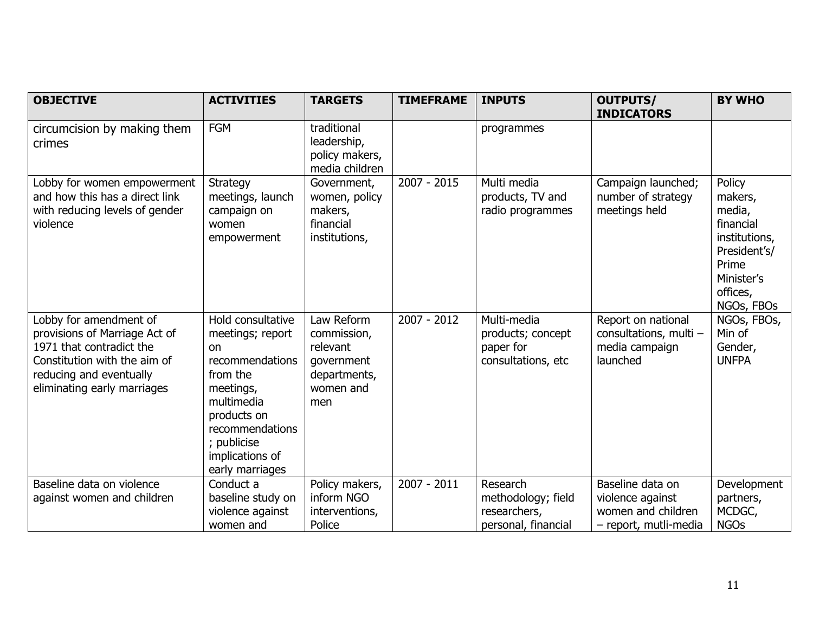| <b>OBJECTIVE</b>                                                                                                                                                              | <b>ACTIVITIES</b>                                                                                                                                                                            | <b>TARGETS</b>                                                                          | <b>TIMEFRAME</b> | <b>INPUTS</b>                                                         | <b>OUTPUTS/</b>                                                                     | <b>BY WHO</b>                                                                                                              |
|-------------------------------------------------------------------------------------------------------------------------------------------------------------------------------|----------------------------------------------------------------------------------------------------------------------------------------------------------------------------------------------|-----------------------------------------------------------------------------------------|------------------|-----------------------------------------------------------------------|-------------------------------------------------------------------------------------|----------------------------------------------------------------------------------------------------------------------------|
|                                                                                                                                                                               |                                                                                                                                                                                              |                                                                                         |                  |                                                                       | <b>INDICATORS</b>                                                                   |                                                                                                                            |
| circumcision by making them<br>crimes                                                                                                                                         | <b>FGM</b>                                                                                                                                                                                   | traditional<br>leadership,<br>policy makers,<br>media children                          |                  | programmes                                                            |                                                                                     |                                                                                                                            |
| Lobby for women empowerment<br>and how this has a direct link<br>with reducing levels of gender<br>violence                                                                   | Strategy<br>meetings, launch<br>campaign on<br>women<br>empowerment                                                                                                                          | Government,<br>women, policy<br>makers,<br>financial<br>institutions,                   | $2007 - 2015$    | Multi media<br>products, TV and<br>radio programmes                   | Campaign launched;<br>number of strategy<br>meetings held                           | Policy<br>makers,<br>media,<br>financial<br>institutions,<br>President's/<br>Prime<br>Minister's<br>offices,<br>NGOs, FBOs |
| Lobby for amendment of<br>provisions of Marriage Act of<br>1971 that contradict the<br>Constitution with the aim of<br>reducing and eventually<br>eliminating early marriages | Hold consultative<br>meetings; report<br>on<br>recommendations<br>from the<br>meetings,<br>multimedia<br>products on<br>recommendations<br>; publicise<br>implications of<br>early marriages | Law Reform<br>commission,<br>relevant<br>government<br>departments,<br>women and<br>men | 2007 - 2012      | Multi-media<br>products; concept<br>paper for<br>consultations, etc   | Report on national<br>consultations, multi -<br>media campaign<br>launched          | NGOs, FBOs,<br>Min of<br>Gender,<br><b>UNFPA</b>                                                                           |
| Baseline data on violence<br>against women and children                                                                                                                       | Conduct a<br>baseline study on<br>violence against<br>women and                                                                                                                              | Policy makers,<br>inform NGO<br>interventions,<br>Police                                | 2007 - 2011      | Research<br>methodology; field<br>researchers,<br>personal, financial | Baseline data on<br>violence against<br>women and children<br>- report, mutli-media | Development<br>partners,<br>MCDGC,<br><b>NGOs</b>                                                                          |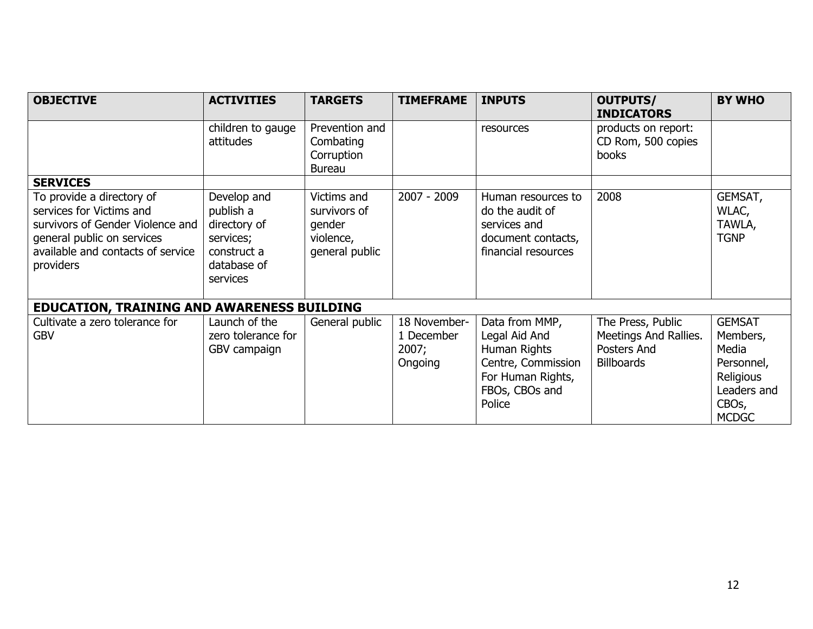| <b>OBJECTIVE</b>                                                                                                                                                          | <b>ACTIVITIES</b>                                                                               | <b>TARGETS</b>                                                       | <b>TIMEFRAME</b>                               | <b>INPUTS</b>                                                                                                          | <b>OUTPUTS/</b><br><b>INDICATORS</b>                                           | <b>BY WHO</b>                                                                                                    |
|---------------------------------------------------------------------------------------------------------------------------------------------------------------------------|-------------------------------------------------------------------------------------------------|----------------------------------------------------------------------|------------------------------------------------|------------------------------------------------------------------------------------------------------------------------|--------------------------------------------------------------------------------|------------------------------------------------------------------------------------------------------------------|
|                                                                                                                                                                           | children to gauge<br>attitudes                                                                  | Prevention and<br>Combating<br>Corruption<br><b>Bureau</b>           |                                                | resources                                                                                                              | products on report:<br>CD Rom, 500 copies<br>books                             |                                                                                                                  |
| <b>SERVICES</b>                                                                                                                                                           |                                                                                                 |                                                                      |                                                |                                                                                                                        |                                                                                |                                                                                                                  |
| To provide a directory of<br>services for Victims and<br>survivors of Gender Violence and<br>general public on services<br>available and contacts of service<br>providers | Develop and<br>publish a<br>directory of<br>services;<br>construct a<br>database of<br>services | Victims and<br>survivors of<br>gender<br>violence,<br>general public | $2007 - 2009$                                  | Human resources to<br>do the audit of<br>services and<br>document contacts,<br>financial resources                     | 2008                                                                           | GEMSAT,<br>WLAC,<br>TAWLA,<br><b>TGNP</b>                                                                        |
| <b>EDUCATION, TRAINING AND AWARENESS BUILDING</b>                                                                                                                         |                                                                                                 |                                                                      |                                                |                                                                                                                        |                                                                                |                                                                                                                  |
| Cultivate a zero tolerance for<br><b>GBV</b>                                                                                                                              | Launch of the<br>zero tolerance for<br>GBV campaign                                             | General public                                                       | 18 November-<br>1 December<br>2007;<br>Ongoing | Data from MMP,<br>Legal Aid And<br>Human Rights<br>Centre, Commission<br>For Human Rights,<br>FBOs, CBOs and<br>Police | The Press, Public<br>Meetings And Rallies.<br>Posters And<br><b>Billboards</b> | <b>GEMSAT</b><br>Members,<br>Media<br>Personnel,<br>Religious<br>Leaders and<br>CBO <sub>s</sub><br><b>MCDGC</b> |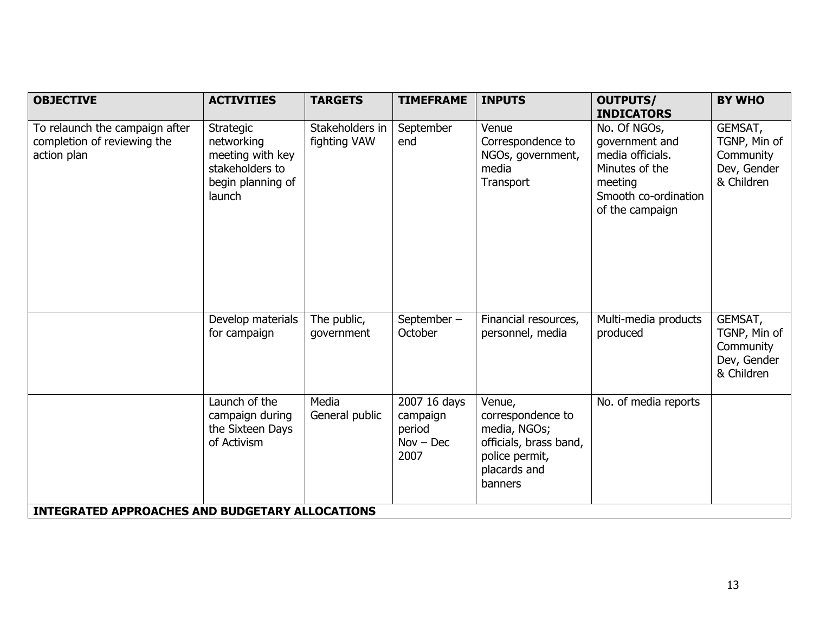| <b>OBJECTIVE</b>                                                             | <b>ACTIVITIES</b>                                                                             | <b>TARGETS</b>                  | <b>TIMEFRAME</b>                                          | <b>INPUTS</b>                                                                                                      | <b>OUTPUTS/</b><br><b>INDICATORS</b>                                                                                       | <b>BY WHO</b>                                                     |
|------------------------------------------------------------------------------|-----------------------------------------------------------------------------------------------|---------------------------------|-----------------------------------------------------------|--------------------------------------------------------------------------------------------------------------------|----------------------------------------------------------------------------------------------------------------------------|-------------------------------------------------------------------|
| To relaunch the campaign after<br>completion of reviewing the<br>action plan | Strategic<br>networking<br>meeting with key<br>stakeholders to<br>begin planning of<br>launch | Stakeholders in<br>fighting VAW | September<br>end                                          | Venue<br>Correspondence to<br>NGOs, government,<br>media<br>Transport                                              | No. Of NGOs,<br>government and<br>media officials.<br>Minutes of the<br>meeting<br>Smooth co-ordination<br>of the campaign | GEMSAT,<br>TGNP, Min of<br>Community<br>Dev, Gender<br>& Children |
|                                                                              | Develop materials<br>for campaign                                                             | The public,<br>government       | September-<br>October                                     | Financial resources,<br>personnel, media                                                                           | Multi-media products<br>produced                                                                                           | GEMSAT,<br>TGNP, Min of<br>Community<br>Dev, Gender<br>& Children |
|                                                                              | Launch of the<br>campaign during<br>the Sixteen Days<br>of Activism                           | Media<br>General public         | 2007 16 days<br>campaign<br>period<br>$Nov - Dec$<br>2007 | Venue,<br>correspondence to<br>media, NGOs;<br>officials, brass band,<br>police permit,<br>placards and<br>banners | No. of media reports                                                                                                       |                                                                   |
| <b>INTEGRATED APPROACHES AND BUDGETARY ALLOCATIONS</b>                       |                                                                                               |                                 |                                                           |                                                                                                                    |                                                                                                                            |                                                                   |